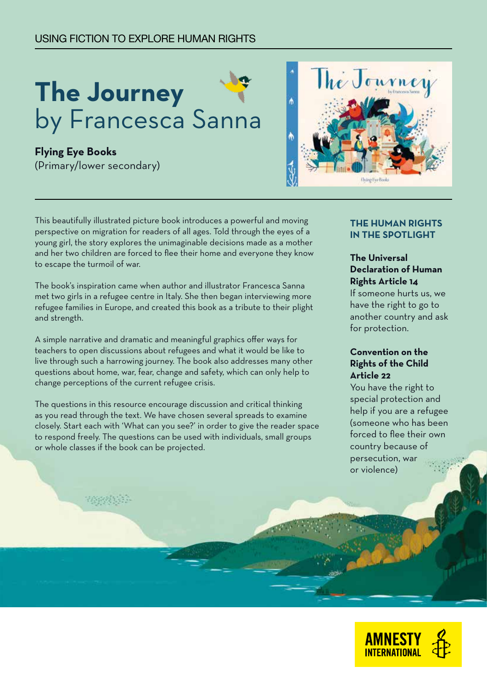## USING FICTION TO EXPLORE HUMAN RIGHTS

# **The Journey**  by Francesca Sanna

**Flying Eye Books** (Primary/lower secondary)

**RANANA** 



This beautifully illustrated picture book introduces a powerful and moving perspective on migration for readers of all ages. Told through the eyes of a young girl, the story explores the unimaginable decisions made as a mother and her two children are forced to flee their home and everyone they know to escape the turmoil of war.

The book's inspiration came when author and illustrator Francesca Sanna met two girls in a refugee centre in Italy. She then began interviewing more refugee families in Europe, and created this book as a tribute to their plight and strength.

A simple narrative and dramatic and meaningful graphics offer ways for teachers to open discussions about refugees and what it would be like to live through such a harrowing journey. The book also addresses many other questions about home, war, fear, change and safety, which can only help to change perceptions of the current refugee crisis.

The questions in this resource encourage discussion and critical thinking as you read through the text. We have chosen several spreads to examine closely. Start each with 'What can you see?' in order to give the reader space to respond freely. The questions can be used with individuals, small groups or whole classes if the book can be projected.

#### **THE HUMAN RIGHTS IN THE SPOTLIGHT**

## **The Universal Declaration of Human Rights Article 14**

If someone hurts us, we have the right to go to another country and ask for protection.

#### **Convention on the Rights of the Child Article 22**

You have the right to special protection and help if you are a refugee (someone who has been forced to flee their own country because of persecution, war or violence)

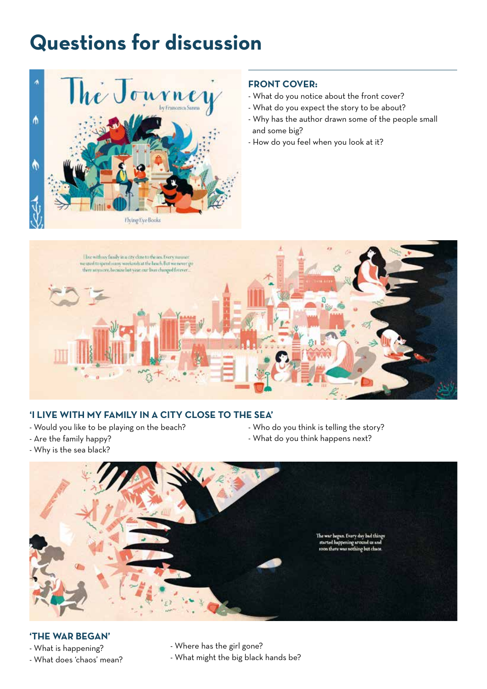## **Questions for discussion**



## **FRONT COVER:**

- What do you notice about the front cover?
- What do you expect the story to be about?
- Why has the author drawn some of the people small and some big?
- How do you feel when you look at it?



## **'I LIVE WITH MY FAMILY IN A CITY CLOSE TO THE SEA'**

- Would you like to be playing on the beach?
- Who do you think is telling the story?
- What do you think happens next?

- Are the family happy? - Why is the sea black?



#### **'THE WAR BEGAN'**

- What is happening? - What does 'chaos' mean? - Where has the girl gone?

- What might the big black hands be?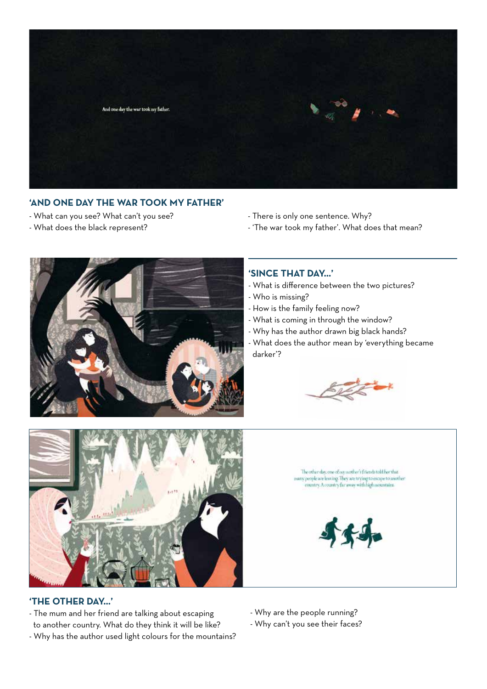

## **'AND ONE DAY THE WAR TOOK MY FATHER'**

- What can you see? What can't you see?
- What does the black represent?
- There is only one sentence. Why?
- 'The war took my father'. What does that mean?



#### **'SINCE THAT DAY…'**

- What is difference between the two pictures?
- Who is missing?
- How is the family feeling now?
- What is coming in through the window?
- Why has the author drawn big black hands?
- What does the author mean by 'everything became darker'?





#### **'THE OTHER DAY…'**

- The mum and her friend are talking about escaping to another country. What do they think it will be like?
- Why has the author used light colours for the mountains?

The other day, one of say mother's friends told her that many people are leaving. They are trying to escape to another<br>country. A country far away with high mountains.



- Why are the people running?

- Why can't you see their faces?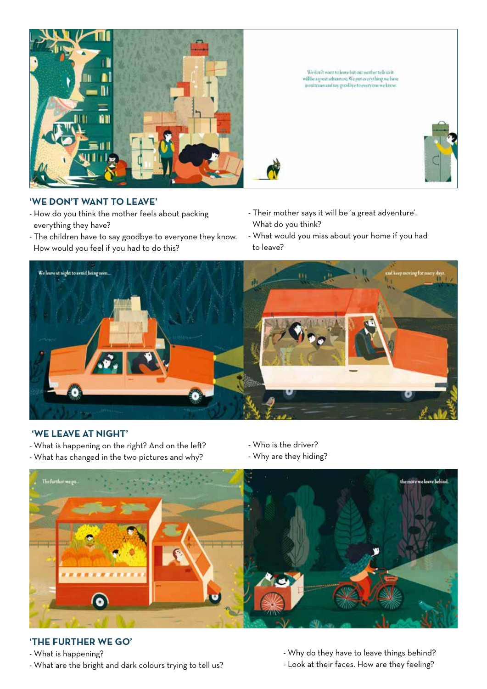

 $We don't want to leave but our another tell using {\it well}\ we have {\it well}\ we have in unit cases and say, gevollye to every one we know.$ 

## **'WE DON'T WANT TO LEAVE'**

- How do you think the mother feels about packing everything they have?
- The children have to say goodbye to everyone they know. How would you feel if you had to do this?
- Their mother says it will be 'a great adventure'. What do you think?
- What would you miss about your home if you had to leave?



#### **'WE LEAVE AT NIGHT'**

- What is happening on the right? And on the left?
- What has changed in the two pictures and why?
- Who is the driver?
- Why are they hiding?



## **'THE FURTHER WE GO'**

- What is happening?

- What are the bright and dark colours trying to tell us?

- Why do they have to leave things behind? - Look at their faces. How are they feeling?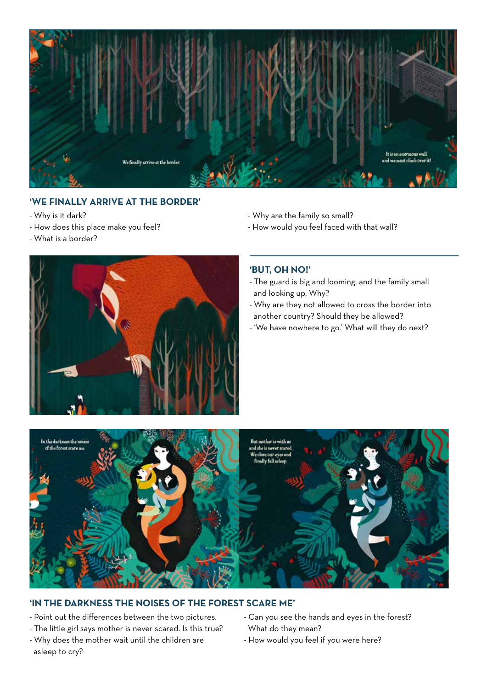

## **'WE FINALLY ARRIVE AT THE BORDER'**

- Why is it dark?
- How does this place make you feel?
- What is a border?



- How would you feel faced with that wall?



#### **'BUT, OH NO!'**

- The guard is big and looming, and the family small and looking up. Why?
- Why are they not allowed to cross the border into another country? Should they be allowed?
- 'We have nowhere to go.' What will they do next?



#### **'IN THE DARKNESS THE NOISES OF THE FOREST SCARE ME'**

- Point out the differences between the two pictures.
- The little girl says mother is never scared. Is this true?
- Why does the mother wait until the children are asleep to cry?
- Can you see the hands and eyes in the forest? What do they mean?
- How would you feel if you were here?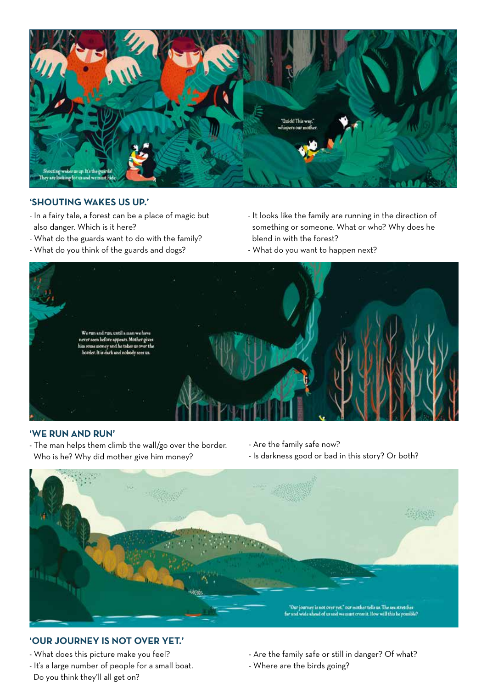

#### **'SHOUTING WAKES US UP.'**

- In a fairy tale, a forest can be a place of magic but also danger. Which is it here?
- What do the guards want to do with the family?
- What do you think of the guards and dogs?
- It looks like the family are running in the direction of something or someone. What or who? Why does he blend in with the forest?
- What do you want to happen next?



## **'WE RUN AND RUN'**

- The man helps them climb the wall/go over the border. Who is he? Why did mother give him money?
- Are the family safe now?
- Is darkness good or bad in this story? Or both?



## **'OUR JOURNEY IS NOT OVER YET.'**

- What does this picture make you feel?
- It's a large number of people for a small boat. Do you think they'll all get on?
- Are the family safe or still in danger? Of what?
- Where are the birds going?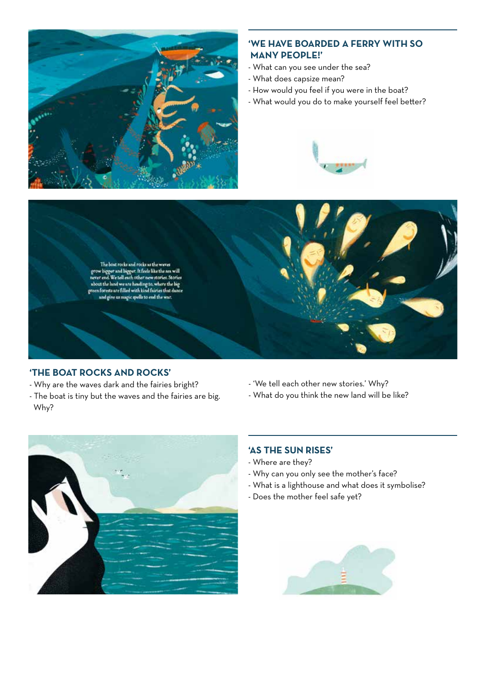

#### **'WE HAVE BOARDED A FERRY WITH SO MANY PEOPLE!'**

- What can you see under the sea?
- What does capsize mean?
- How would you feel if you were in the boat?
- What would you do to make yourself feel better?





## **'THE BOAT ROCKS AND ROCKS'**

- Why are the waves dark and the fairies bright?
- The boat is tiny but the waves and the fairies are big. Why?
- 'We tell each other new stories.' Why?
- What do you think the new land will be like?



## **'AS THE SUN RISES'**

- Where are they?
- Why can you only see the mother's face?
- What is a lighthouse and what does it symbolise?
- Does the mother feel safe yet?

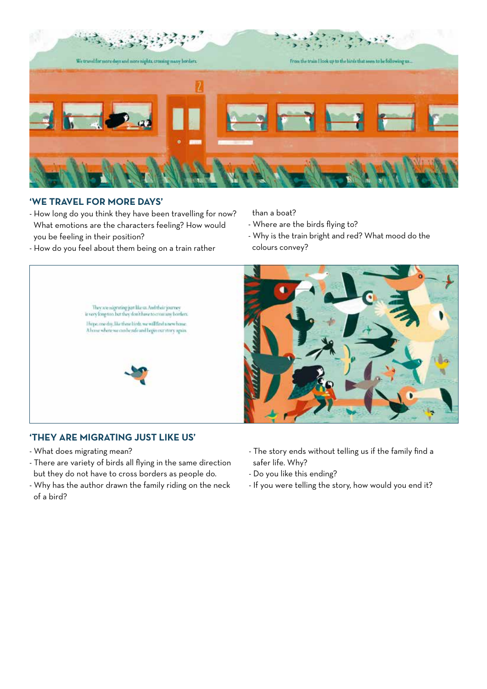

## **'WE TRAVEL FOR MORE DAYS'**

- How long do you think they have been travelling for now? What emotions are the characters feeling? How would you be feeling in their position?
- How do you feel about them being on a train rather

than a boat?

- Where are the birds flying to?
- Why is the train bright and red? What mood do the colours convey?



## **'THEY ARE MIGRATING JUST LIKE US'**

- What does migrating mean?
- There are variety of birds all flying in the same direction but they do not have to cross borders as people do.
- Why has the author drawn the family riding on the neck of a bird?
- The story ends without telling us if the family find a safer life. Why?
- Do you like this ending?
- If you were telling the story, how would you end it?